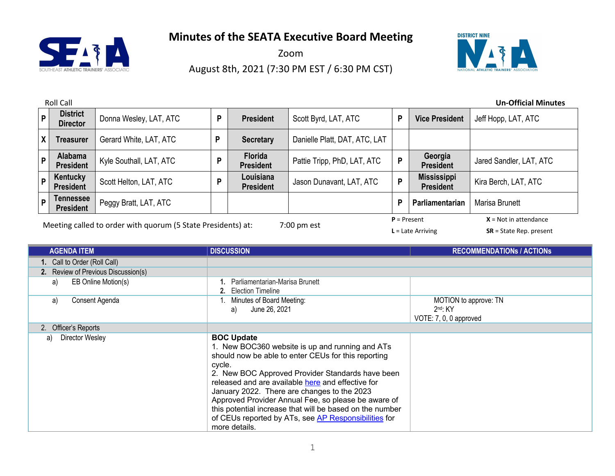

Zoom August 8th, 2021 (7:30 PM EST / 6:30 PM CST)



|                                                                                           | <b>Roll Call</b><br><b>Un-Official Minutes</b> |                         |   |                                    |                               |   |                                        |                         |
|-------------------------------------------------------------------------------------------|------------------------------------------------|-------------------------|---|------------------------------------|-------------------------------|---|----------------------------------------|-------------------------|
|                                                                                           | <b>District</b><br>P<br><b>Director</b>        | Donna Wesley, LAT, ATC  | D | <b>President</b>                   | Scott Byrd, LAT, ATC          | P | <b>Vice President</b>                  | Jeff Hopp, LAT, ATC     |
|                                                                                           | $\mathsf{x}$<br><b>Treasurer</b>               | Gerard White, LAT, ATC  | D | <b>Secretary</b>                   | Danielle Platt, DAT, ATC, LAT |   |                                        |                         |
|                                                                                           | Alabama<br>P<br><b>President</b>               | Kyle Southall, LAT, ATC | D | <b>Florida</b><br><b>President</b> | Pattie Tripp, PhD, LAT, ATC   | P | Georgia<br><b>President</b>            | Jared Sandler, LAT, ATC |
|                                                                                           | Kentucky<br>P<br><b>President</b>              | Scott Helton, LAT, ATC  | D | Louisiana<br><b>President</b>      | Jason Dunavant, LAT, ATC      | P | <b>Mississippi</b><br><b>President</b> | Kira Berch, LAT, ATC    |
|                                                                                           | Tennessee<br>P<br><b>President</b>             | Peggy Bratt, LAT, ATC   |   |                                    |                               | P | <b>Parliamentarian</b>                 | Marisa Brunett          |
| $P = Present$<br>$X = Not in attendance$<br>$\bullet$ $      \bullet$ $\bullet$ $\bullet$ |                                                |                         |   |                                    |                               |   |                                        |                         |

Meeting called to order with quorum (5 State Presidents) at: 7:00 pm est

**L** = Late Arriving **SR** = State Rep. present

| <b>AGENDA ITEM</b>                  | <b>DISCUSSION</b>                                                                                                                                                                                                                                                                                                                                                                                                                                                                         | <b>RECOMMENDATIONS / ACTIONS</b>                              |
|-------------------------------------|-------------------------------------------------------------------------------------------------------------------------------------------------------------------------------------------------------------------------------------------------------------------------------------------------------------------------------------------------------------------------------------------------------------------------------------------------------------------------------------------|---------------------------------------------------------------|
| 1. Call to Order (Roll Call)        |                                                                                                                                                                                                                                                                                                                                                                                                                                                                                           |                                                               |
| 2. Review of Previous Discussion(s) |                                                                                                                                                                                                                                                                                                                                                                                                                                                                                           |                                                               |
| EB Online Motion(s)<br>a)           | Parliamentarian-Marisa Brunett<br>2. Election Timeline                                                                                                                                                                                                                                                                                                                                                                                                                                    |                                                               |
| Consent Agenda<br>a)                | Minutes of Board Meeting:<br>June 26, 2021<br>a)                                                                                                                                                                                                                                                                                                                                                                                                                                          | MOTION to approve: TN<br>$2nd$ : KY<br>VOTE: 7, 0, 0 approved |
| 2. Officer's Reports                |                                                                                                                                                                                                                                                                                                                                                                                                                                                                                           |                                                               |
| Director Wesley<br>a)               | <b>BOC Update</b><br>1. New BOC360 website is up and running and ATs<br>should now be able to enter CEUs for this reporting<br>cycle.<br>2. New BOC Approved Provider Standards have been<br>released and are available here and effective for<br>January 2022. There are changes to the 2023<br>Approved Provider Annual Fee, so please be aware of<br>this potential increase that will be based on the number<br>of CEUs reported by ATs, see AP Responsibilities for<br>more details. |                                                               |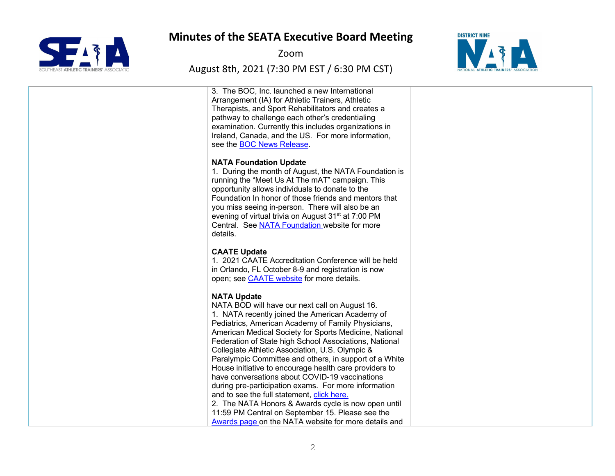

Zoom

#### August 8th, 2021 (7:30 PM EST / 6:30 PM CST)



3. The BOC, Inc. launched a new International Arrangement (IA) for Athletic Trainers, Athletic Therapists, and Sport Rehabilitators and creates a pathway to challenge each other's credentialing examination. Currently this includes organizations in Ireland, Canada, and the US. For more information, see the BOC News Release.

#### **NATA Foundation Update**

1. During the month of August, the NATA Foundation is running the "Meet Us At The mAT" campaign. This opportunity allows individuals to donate to the Foundation In honor of those friends and mentors that you miss seeing in-person. There will also be an evening of virtual trivia on August 31<sup>st</sup> at 7:00 PM Central. See NATA Foundation website for more details.

#### **CAATE Update**

1. 2021 CAATE Accreditation Conference will be held in Orlando, FL October 8-9 and registration is now open; see CAATE website for more details.

#### **NATA Update**

NATA BOD will have our next call on August 16. 1. NATA recently joined the American Academy of Pediatrics, American Academy of Family Physicians, American Medical Society for Sports Medicine, National Federation of State high School Associations, National Collegiate Athletic Association, U.S. Olympic & Paralympic Committee and others, in support of a White House initiative to encourage health care providers to have conversations about COVID-19 vaccinations during pre-participation exams. For more information and to see the full statement, click here. 2. The NATA Honors & Awards cycle is now open until 11:59 PM Central on September 15. Please see the Awards page on the NATA website for more details and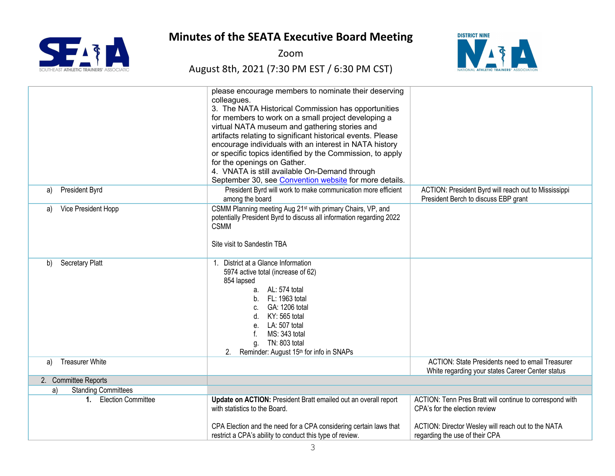

Zoom

# August 8th, 2021 (7:30 PM EST / 6:30 PM CST)



|                                  | please encourage members to nominate their deserving<br>colleagues.<br>3. The NATA Historical Commission has opportunities<br>for members to work on a small project developing a<br>virtual NATA museum and gathering stories and<br>artifacts relating to significant historical events. Please<br>encourage individuals with an interest in NATA history<br>or specific topics identified by the Commission, to apply<br>for the openings on Gather.<br>4. VNATA is still available On-Demand through<br>September 30, see Convention website for more details. |                                                                                                                                                 |
|----------------------------------|--------------------------------------------------------------------------------------------------------------------------------------------------------------------------------------------------------------------------------------------------------------------------------------------------------------------------------------------------------------------------------------------------------------------------------------------------------------------------------------------------------------------------------------------------------------------|-------------------------------------------------------------------------------------------------------------------------------------------------|
| President Byrd<br>a)             | President Byrd will work to make communication more efficient<br>among the board                                                                                                                                                                                                                                                                                                                                                                                                                                                                                   | ACTION: President Byrd will reach out to Mississippi<br>President Berch to discuss EBP grant                                                    |
| Vice President Hopp<br>a)        | CSMM Planning meeting Aug 21 <sup>st</sup> with primary Chairs, VP, and<br>potentially President Byrd to discuss all information regarding 2022<br><b>CSMM</b><br>Site visit to Sandestin TBA                                                                                                                                                                                                                                                                                                                                                                      |                                                                                                                                                 |
| <b>Secretary Platt</b><br>b)     | District at a Glance Information<br>5974 active total (increase of 62)<br>854 lapsed<br>a. AL: 574 total<br>b. FL: 1963 total<br>GA: 1206 total<br>C.<br>KY: 565 total<br>d.<br>LA: 507 total<br>e <sub>1</sub><br>MS: 343 total<br>TN: 803 total<br>a.<br>2.<br>Reminder: August 15 <sup>th</sup> for info in SNAPs                                                                                                                                                                                                                                               |                                                                                                                                                 |
| <b>Treasurer White</b><br>a)     |                                                                                                                                                                                                                                                                                                                                                                                                                                                                                                                                                                    | <b>ACTION: State Presidents need to email Treasurer</b><br>White regarding your states Career Center status                                     |
| 2. Committee Reports             |                                                                                                                                                                                                                                                                                                                                                                                                                                                                                                                                                                    |                                                                                                                                                 |
| <b>Standing Committees</b><br>a) |                                                                                                                                                                                                                                                                                                                                                                                                                                                                                                                                                                    |                                                                                                                                                 |
| 1. Election Committee            | Update on ACTION: President Bratt emailed out an overall report<br>with statistics to the Board.<br>CPA Election and the need for a CPA considering certain laws that                                                                                                                                                                                                                                                                                                                                                                                              | ACTION: Tenn Pres Bratt will continue to correspond with<br>CPA's for the election review<br>ACTION: Director Wesley will reach out to the NATA |
|                                  | restrict a CPA's ability to conduct this type of review.                                                                                                                                                                                                                                                                                                                                                                                                                                                                                                           | regarding the use of their CPA                                                                                                                  |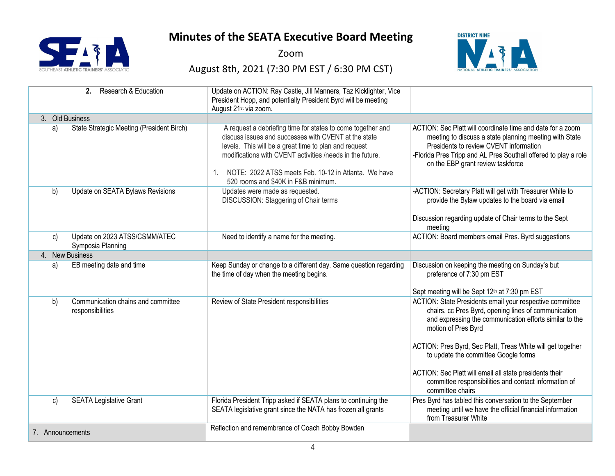

Zoom

# August 8th, 2021 (7:30 PM EST / 6:30 PM CST)



|                  | Research & Education<br>2.                             | Update on ACTION: Ray Castle, Jill Manners, Taz Kicklighter, Vice<br>President Hopp, and potentially President Byrd will be meeting<br>August 21 <sup>st</sup> via zoom.                                                                                                                                                                    |                                                                                                                                                                                                                                                                                                                                                                                                                                                   |
|------------------|--------------------------------------------------------|---------------------------------------------------------------------------------------------------------------------------------------------------------------------------------------------------------------------------------------------------------------------------------------------------------------------------------------------|---------------------------------------------------------------------------------------------------------------------------------------------------------------------------------------------------------------------------------------------------------------------------------------------------------------------------------------------------------------------------------------------------------------------------------------------------|
|                  | 3. Old Business                                        |                                                                                                                                                                                                                                                                                                                                             |                                                                                                                                                                                                                                                                                                                                                                                                                                                   |
| a)               | State Strategic Meeting (President Birch)              | A request a debriefing time for states to come together and<br>discuss issues and successes with CVENT at the state<br>levels. This will be a great time to plan and request<br>modifications with CVENT activities /needs in the future.<br>1. NOTE: 2022 ATSS meets Feb. 10-12 in Atlanta. We have<br>520 rooms and \$40K in F&B minimum. | ACTION: Sec Platt will coordinate time and date for a zoom<br>meeting to discuss a state planning meeting with State<br>Presidents to review CVENT information<br>-Florida Pres Tripp and AL Pres Southall offered to play a role<br>on the EBP grant review taskforce                                                                                                                                                                            |
| b)               | Update on SEATA Bylaws Revisions                       | Updates were made as requested.<br>DISCUSSION: Staggering of Chair terms                                                                                                                                                                                                                                                                    | -ACTION: Secretary Platt will get with Treasurer White to<br>provide the Bylaw updates to the board via email<br>Discussion regarding update of Chair terms to the Sept<br>meeting                                                                                                                                                                                                                                                                |
| C)               | Update on 2023 ATSS/CSMM/ATEC<br>Symposia Planning     | Need to identify a name for the meeting.                                                                                                                                                                                                                                                                                                    | ACTION: Board members email Pres. Byrd suggestions                                                                                                                                                                                                                                                                                                                                                                                                |
|                  | 4. New Business                                        |                                                                                                                                                                                                                                                                                                                                             |                                                                                                                                                                                                                                                                                                                                                                                                                                                   |
| a)               | EB meeting date and time                               | Keep Sunday or change to a different day. Same question regarding<br>the time of day when the meeting begins.                                                                                                                                                                                                                               | Discussion on keeping the meeting on Sunday's but<br>preference of 7:30 pm EST<br>Sept meeting will be Sept 12th at 7:30 pm EST                                                                                                                                                                                                                                                                                                                   |
| b)               | Communication chains and committee<br>responsibilities | Review of State President responsibilities                                                                                                                                                                                                                                                                                                  | ACTION: State Presidents email your respective committee<br>chairs, cc Pres Byrd, opening lines of communication<br>and expressing the communication efforts similar to the<br>motion of Pres Byrd<br>ACTION: Pres Byrd, Sec Platt, Treas White will get together<br>to update the committee Google forms<br>ACTION: Sec Platt will email all state presidents their<br>committee responsibilities and contact information of<br>committee chairs |
| C)               | <b>SEATA Legislative Grant</b>                         | Florida President Tripp asked if SEATA plans to continuing the<br>SEATA legislative grant since the NATA has frozen all grants                                                                                                                                                                                                              | Pres Byrd has tabled this conversation to the September<br>meeting until we have the official financial information<br>from Treasurer White                                                                                                                                                                                                                                                                                                       |
| 7. Announcements |                                                        | Reflection and remembrance of Coach Bobby Bowden                                                                                                                                                                                                                                                                                            |                                                                                                                                                                                                                                                                                                                                                                                                                                                   |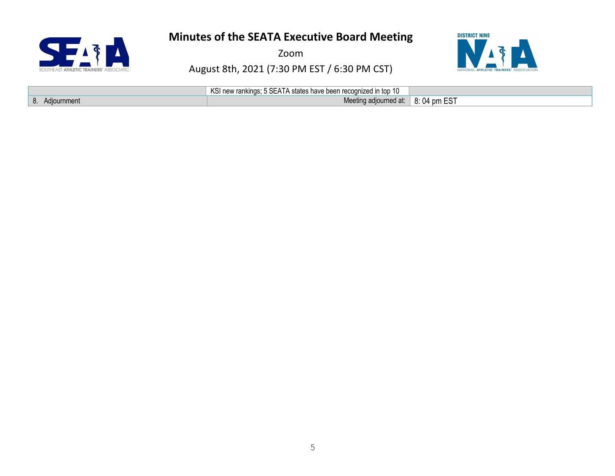

Zoom

# August 8th, 2021 (7:30 PM EST / 6:30 PM CST)



|                   | KSI new rankings; 5 SEATA states have been recognized in top 10 |             |
|-------------------|-----------------------------------------------------------------|-------------|
| Adiournment<br>ο. | Meeting adjourned at:                                           | 8:04 pm EST |